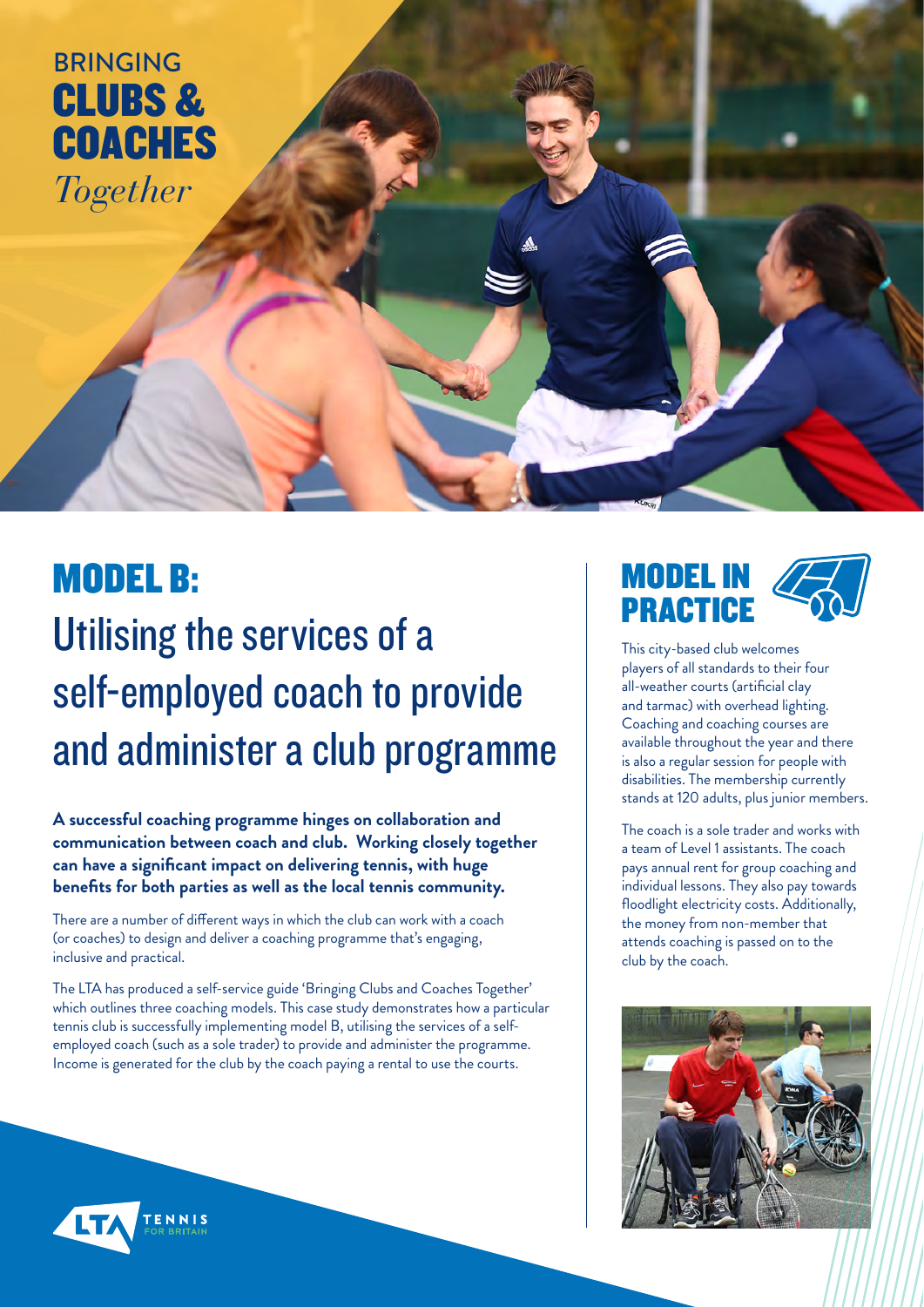CLUBS & **COACHES** BRINGING *Together*

# MODEL B: Utilising the services of a self-employed coach to provide and administer a club programme

**A successful coaching programme hinges on collaboration and communication between coach and club. Working closely together can have a significant impact on delivering tennis, with huge benefits for both parties as well as the local tennis community.** 

There are a number of different ways in which the club can work with a coach (or coaches) to design and deliver a coaching programme that's engaging, inclusive and practical.

The LTA has produced a self-service guide 'Bringing Clubs and Coaches Together' which outlines three coaching models. This case study demonstrates how a particular tennis club is successfully implementing model B, utilising the services of a selfemployed coach (such as a sole trader) to provide and administer the programme. Income is generated for the club by the coach paying a rental to use the courts.

## MODEL IN **PRACTICE**

This city-based club welcomes players of all standards to their four all-weather courts (artificial clay and tarmac) with overhead lighting. Coaching and coaching courses are available throughout the year and there is also a regular session for people with disabilities. The membership currently stands at 120 adults, plus junior members.

The coach is a sole trader and works with a team of Level 1 assistants. The coach pays annual rent for group coaching and individual lessons. They also pay towards floodlight electricity costs. Additionally, the money from non-member that attends coaching is passed on to the club by the coach.